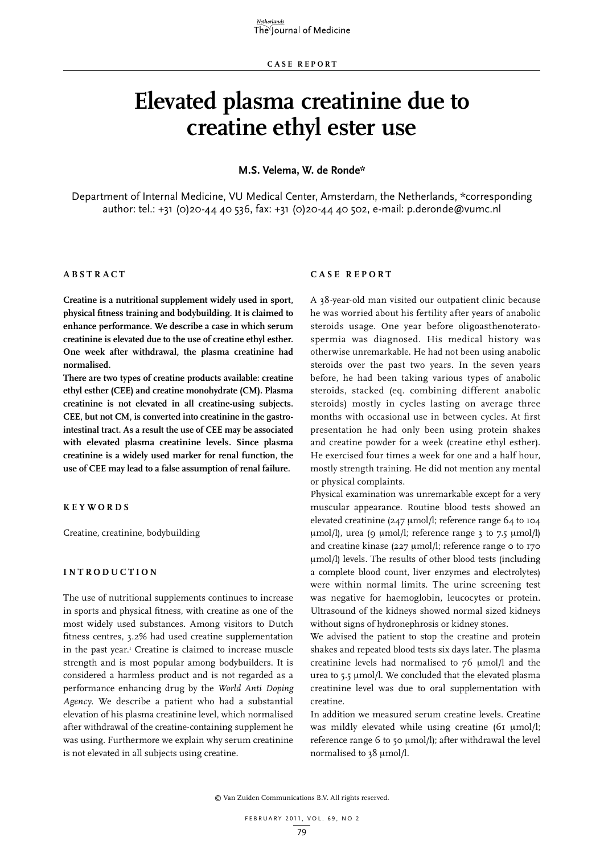# **Elevated plasma creatinine due to creatine ethyl ester use**

#### **M.S. Velema, W. de Ronde\***

Department of Internal Medicine, VU Medical Center, Amsterdam, the Netherlands, \*corresponding author: tel.: +31 (0)20-44 40 536, fax: +31 (0)20-44 40 502, e-mail: p.deronde@vumc.nl

## **ABSTRA C T**

**Creatine is a nutritional supplement widely used in sport, physical fitness training and bodybuilding. It is claimed to enhance performance. We describe a case in which serum creatinine is elevated due to the use of creatine ethyl esther. One week after withdrawal, the plasma creatinine had normalised.** 

**There are two types of creatine products available: creatine ethyl esther (CEE) and creatine monohydrate (CM). Plasma creatinine is not elevated in all creatine-using subjects. CEE, but not CM, is converted into creatinine in the gastrointestinal tract. As a result the use of CEE may be associated with elevated plasma creatinine levels. Since plasma creatinine is a widely used marker for renal function, the use of CEE may lead to a false assumption of renal failure.**

## **K EYWORDS**

Creatine, creatinine, bodybuilding

#### **INTRODU C TION**

The use of nutritional supplements continues to increase in sports and physical fitness, with creatine as one of the most widely used substances. Among visitors to Dutch fitness centres, 3.2% had used creatine supplementation in the past year.<sup>1</sup> Creatine is claimed to increase muscle strength and is most popular among bodybuilders. It is considered a harmless product and is not regarded as a performance enhancing drug by the *World Anti Doping Agency*. We describe a patient who had a substantial elevation of his plasma creatinine level, which normalised after withdrawal of the creatine-containing supplement he was using. Furthermore we explain why serum creatinine is not elevated in all subjects using creatine.

## **C ASE REPORT**

A 38-year-old man visited our outpatient clinic because he was worried about his fertility after years of anabolic steroids usage. One year before oligoasthenoteratospermia was diagnosed. His medical history was otherwise unremarkable. He had not been using anabolic steroids over the past two years. In the seven years before, he had been taking various types of anabolic steroids, stacked (eq. combining different anabolic steroids) mostly in cycles lasting on average three months with occasional use in between cycles. At first presentation he had only been using protein shakes and creatine powder for a week (creatine ethyl esther). He exercised four times a week for one and a half hour, mostly strength training. He did not mention any mental or physical complaints.

Physical examination was unremarkable except for a very muscular appearance. Routine blood tests showed an elevated creatinine (247  $\mu$ mol/l; reference range 64 to 104  $\mu$ mol/l), urea (9  $\mu$ mol/l; reference range 3 to 7.5  $\mu$ mol/l) and creatine kinase (227  $\mu$ mol/l; reference range 0 to 170 mmol/l) levels. The results of other blood tests (including a complete blood count, liver enzymes and electrolytes) were within normal limits. The urine screening test was negative for haemoglobin, leucocytes or protein. Ultrasound of the kidneys showed normal sized kidneys without signs of hydronephrosis or kidney stones.

We advised the patient to stop the creatine and protein shakes and repeated blood tests six days later. The plasma creatinine levels had normalised to 76 µmol/l and the urea to 5.5 µmol/l. We concluded that the elevated plasma creatinine level was due to oral supplementation with creatine.

In addition we measured serum creatine levels. Creatine was mildly elevated while using creatine (61 µmol/l; reference range 6 to 50 µmol/l); after withdrawal the level normalised to 38 µmol/l.

© Van Zuiden Communications B.V. All rights reserved.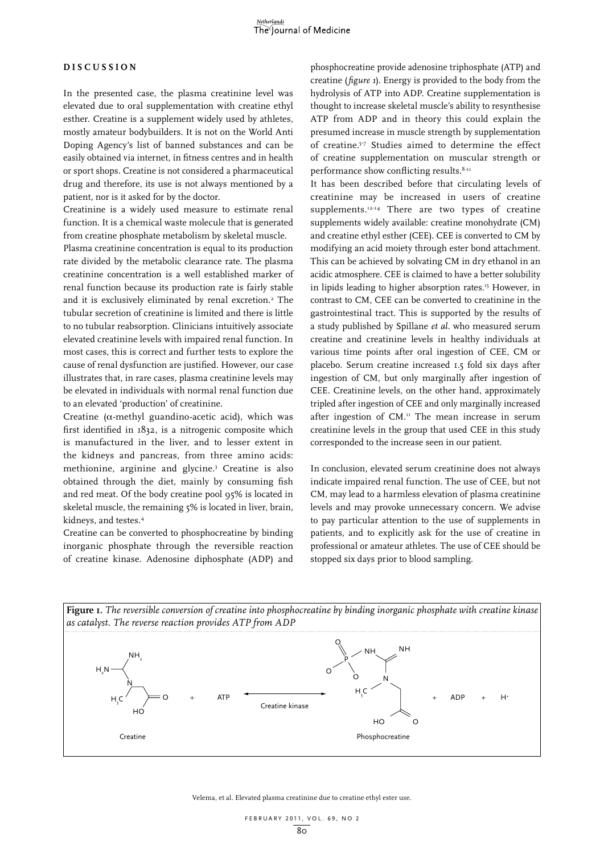#### **DIS C USSION**

In the presented case, the plasma creatinine level was elevated due to oral supplementation with creatine ethyl esther. Creatine is a supplement widely used by athletes, mostly amateur bodybuilders. It is not on the World Anti Doping Agency's list of banned substances and can be easily obtained via internet, in fitness centres and in health or sport shops. Creatine is not considered a pharmaceutical drug and therefore, its use is not always mentioned by a patient, nor is it asked for by the doctor.

Creatinine is a widely used measure to estimate renal function. It is a chemical waste molecule that is generated from creatine phosphate metabolism by skeletal muscle.

Plasma creatinine concentration is equal to its production rate divided by the metabolic clearance rate. The plasma creatinine concentration is a well established marker of renal function because its production rate is fairly stable and it is exclusively eliminated by renal excretion.<sup>2</sup> The tubular secretion of creatinine is limited and there is little to no tubular reabsorption. Clinicians intuitively associate elevated creatinine levels with impaired renal function. In most cases, this is correct and further tests to explore the cause of renal dysfunction are justified. However, our case illustrates that, in rare cases, plasma creatinine levels may be elevated in individuals with normal renal function due to an elevated 'production' of creatinine.

Creatine ( $\alpha$ -methyl guandino-acetic acid), which was first identified in 1832, is a nitrogenic composite which is manufactured in the liver, and to lesser extent in the kidneys and pancreas, from three amino acids: methionine, arginine and glycine.3 Creatine is also obtained through the diet, mainly by consuming fish and red meat. Of the body creatine pool 95% is located in skeletal muscle, the remaining 5% is located in liver, brain, kidneys, and testes.4

Creatine can be converted to phosphocreatine by binding inorganic phosphate through the reversible reaction of creatine kinase. Adenosine diphosphate (ADP) and phosphocreatine provide adenosine triphosphate (ATP) and creatine (*figure 1*). Energy is provided to the body from the hydrolysis of ATP into ADP. Creatine supplementation is thought to increase skeletal muscle's ability to resynthesise ATP from ADP and in theory this could explain the presumed increase in muscle strength by supplementation of creatine.5-7 Studies aimed to determine the effect of creatine supplementation on muscular strength or performance show conflicting results.<sup>8-11</sup>

It has been described before that circulating levels of creatinine may be increased in users of creatine supplements.<sup>12-14</sup> There are two types of creatine supplements widely available: creatine monohydrate (CM) and creatine ethyl esther (CEE). CEE is converted to CM by modifying an acid moiety through ester bond attachment. This can be achieved by solvating CM in dry ethanol in an acidic atmosphere. CEE is claimed to have a better solubility in lipids leading to higher absorption rates.<sup>15</sup> However, in contrast to CM, CEE can be converted to creatinine in the gastrointestinal tract. This is supported by the results of a study published by Spillane *et al.* who measured serum creatine and creatinine levels in healthy individuals at various time points after oral ingestion of CEE, CM or placebo. Serum creatine increased 1.5 fold six days after ingestion of CM, but only marginally after ingestion of CEE. Creatinine levels, on the other hand, approximately tripled after ingestion of CEE and only marginally increased after ingestion of  $CM$ .<sup>11</sup> The mean increase in serum creatinine levels in the group that used CEE in this study corresponded to the increase seen in our patient.

In conclusion, elevated serum creatinine does not always indicate impaired renal function. The use of CEE, but not CM, may lead to a harmless elevation of plasma creatinine levels and may provoke unnecessary concern. We advise to pay particular attention to the use of supplements in patients, and to explicitly ask for the use of creatine in professional or amateur athletes. The use of CEE should be stopped six days prior to blood sampling.



Velema, et al. Elevated plasma creatinine due to creatine ethyl ester use.